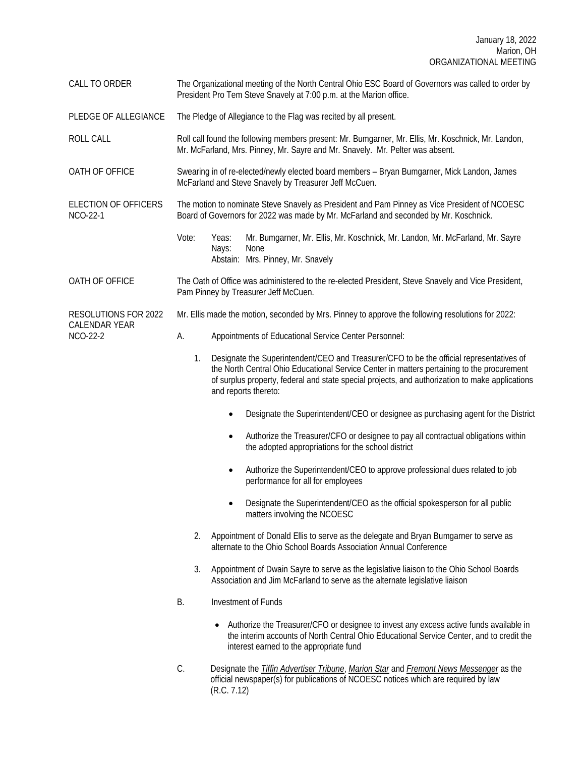CALL TO ORDER The Organizational meeting of the North Central Ohio ESC Board of Governors was called to order by President Pro Tem Steve Snavely at 7:00 p.m. at the Marion office.

PLEDGE OF ALLEGIANCE The Pledge of Allegiance to the Flag was recited by all present.

ROLL CALL Roll call found the following members present: Mr. Bumgarner, Mr. Ellis, Mr. Koschnick, Mr. Landon, Mr. McFarland, Mrs. Pinney, Mr. Sayre and Mr. Snavely. Mr. Pelter was absent.

OATH OF OFFICE Swearing in of re-elected/newly elected board members – Bryan Bumgarner, Mick Landon, James McFarland and Steve Snavely by Treasurer Jeff McCuen.

ELECTION OF OFFICERS NCO-22-1 The motion to nominate Steve Snavely as President and Pam Pinney as Vice President of NCOESC Board of Governors for 2022 was made by Mr. McFarland and seconded by Mr. Koschnick.

> Vote: Yeas: Mr. Bumgarner, Mr. Ellis, Mr. Koschnick, Mr. Landon, Mr. McFarland, Mr. Sayre Nays: None Abstain: Mrs. Pinney, Mr. Snavely

OATH OF OFFICE The Oath of Office was administered to the re-elected President, Steve Snavely and Vice President, Pam Pinney by Treasurer Jeff McCuen.

RESOLUTIONS FOR 2022 Mr. Ellis made the motion, seconded by Mrs. Pinney to approve the following resolutions for 2022:

A. Appointments of Educational Service Center Personnel:

CALENDAR YEAR NCO-22-2

- 1. Designate the Superintendent/CEO and Treasurer/CFO to be the official representatives of the North Central Ohio Educational Service Center in matters pertaining to the procurement of surplus property, federal and state special projects, and authorization to make applications and reports thereto:
	- Designate the Superintendent/CEO or designee as purchasing agent for the District
	- Authorize the Treasurer/CFO or designee to pay all contractual obligations within the adopted appropriations for the school district
	- Authorize the Superintendent/CEO to approve professional dues related to job performance for all for employees
	- Designate the Superintendent/CEO as the official spokesperson for all public matters involving the NCOESC
- 2. Appointment of Donald Ellis to serve as the delegate and Bryan Bumgarner to serve as alternate to the Ohio School Boards Association Annual Conference
- 3. Appointment of Dwain Sayre to serve as the legislative liaison to the Ohio School Boards Association and Jim McFarland to serve as the alternate legislative liaison
- B. Investment of Funds
	- Authorize the Treasurer/CFO or designee to invest any excess active funds available in the interim accounts of North Central Ohio Educational Service Center, and to credit the interest earned to the appropriate fund
- C. Designate the *Tiffin Advertiser Tribune*, *Marion Star* and *Fremont News Messenger* as the official newspaper(s) for publications of NCOESC notices which are required by law (R.C. 7.12)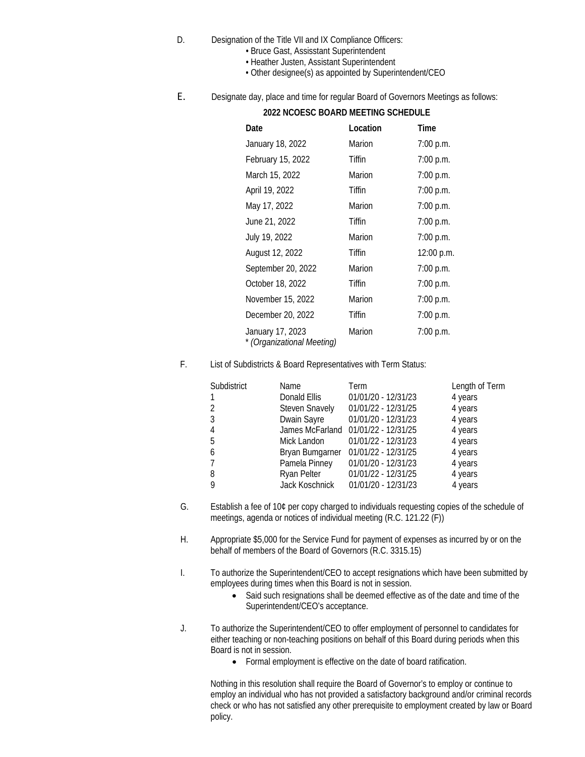- D. Designation of the Title VII and IX Compliance Officers:
	- Bruce Gast, Assisstant Superintendent
	- Heather Justen, Assistant Superintendent
	- Other designee(s) as appointed by Superintendent/CEO
- E. Designate day, place and time for regular Board of Governors Meetings as follows:

|                                                | שבב ווטט טאוונט וווט ווואס טארוונט |            |  |
|------------------------------------------------|------------------------------------|------------|--|
| Date                                           | Location                           | Time       |  |
| January 18, 2022                               | Marion                             | 7:00 p.m.  |  |
| February 15, 2022                              | Tiffin                             | 7:00 p.m.  |  |
| March 15, 2022                                 | Marion                             | 7:00 p.m.  |  |
| April 19, 2022                                 | Tiffin                             | 7:00 p.m.  |  |
| May 17, 2022                                   | Marion                             | 7:00 p.m.  |  |
| June 21, 2022                                  | Tiffin                             | 7:00 p.m.  |  |
| July 19, 2022                                  | Marion                             | 7:00 p.m.  |  |
| August 12, 2022                                | Tiffin                             | 12:00 p.m. |  |
| September 20, 2022                             | Marion                             | 7:00 p.m.  |  |
| October 18, 2022                               | Tiffin                             | 7:00 p.m.  |  |
| November 15, 2022                              | Marion                             | 7:00 p.m.  |  |
| December 20, 2022                              | Tiffin                             | 7:00 p.m.  |  |
| January 17, 2023<br>* (Organizational Meeting) | Marion                             | 7:00 p.m.  |  |

## **2022 NCOESC BOARD MEETING SCHEDULE**

F. List of Subdistricts & Board Representatives with Term Status:

| Subdistrict | Name                  | Term                                | Length of Term |
|-------------|-----------------------|-------------------------------------|----------------|
|             | Donald Ellis          | 01/01/20 - 12/31/23                 | 4 years        |
| 2           | <b>Steven Snavely</b> | 01/01/22 - 12/31/25                 | 4 years        |
| 3           | Dwain Sayre           | 01/01/20 - 12/31/23                 | 4 years        |
| 4           |                       | James McFarland 01/01/22 - 12/31/25 | 4 years        |
| 5           | Mick Landon           | 01/01/22 - 12/31/23                 | 4 years        |
| 6           |                       | Bryan Bumgarner 01/01/22 - 12/31/25 | 4 years        |
|             | Pamela Pinney         | 01/01/20 - 12/31/23                 | 4 years        |
| 8           | Ryan Pelter           | 01/01/22 - 12/31/25                 | 4 years        |
| 9           | Jack Koschnick        | 01/01/20 - 12/31/23                 | 4 years        |

- G. Establish a fee of 10¢ per copy charged to individuals requesting copies of the schedule of meetings, agenda or notices of individual meeting (R.C. 121.22 (F))
- H. Appropriate \$5,000 for the Service Fund for payment of expenses as incurred by or on the behalf of members of the Board of Governors (R.C. 3315.15)
- I. To authorize the Superintendent/CEO to accept resignations which have been submitted by employees during times when this Board is not in session.
	- Said such resignations shall be deemed effective as of the date and time of the Superintendent/CEO's acceptance.
- J. To authorize the Superintendent/CEO to offer employment of personnel to candidates for either teaching or non-teaching positions on behalf of this Board during periods when this Board is not in session.
	- Formal employment is effective on the date of board ratification.

Nothing in this resolution shall require the Board of Governor's to employ or continue to employ an individual who has not provided a satisfactory background and/or criminal records check or who has not satisfied any other prerequisite to employment created by law or Board policy.